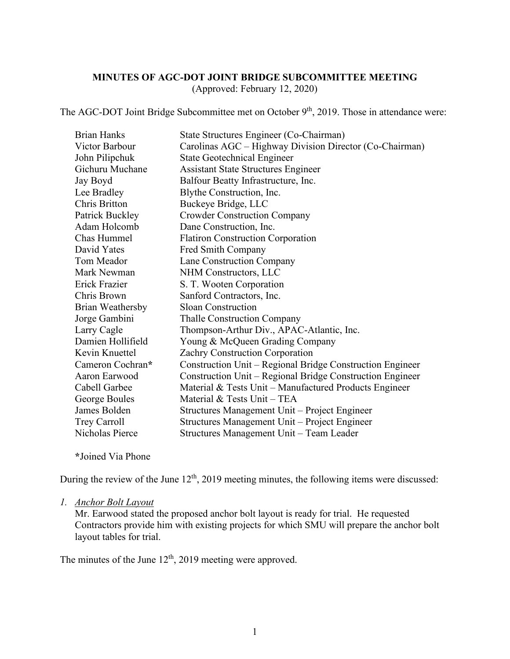# **MINUTES OF AGC-DOT JOINT BRIDGE SUBCOMMITTEE MEETING**

(Approved: February 12, 2020)

The AGC-DOT Joint Bridge Subcommittee met on October  $9<sup>th</sup>$ , 2019. Those in attendance were:

| <b>Brian Hanks</b> | State Structures Engineer (Co-Chairman)                   |
|--------------------|-----------------------------------------------------------|
| Victor Barbour     | Carolinas AGC – Highway Division Director (Co-Chairman)   |
| John Pilipchuk     | <b>State Geotechnical Engineer</b>                        |
| Gichuru Muchane    | <b>Assistant State Structures Engineer</b>                |
| Jay Boyd           | Balfour Beatty Infrastructure, Inc.                       |
| Lee Bradley        | Blythe Construction, Inc.                                 |
| Chris Britton      | Buckeye Bridge, LLC                                       |
| Patrick Buckley    | <b>Crowder Construction Company</b>                       |
| Adam Holcomb       | Dane Construction, Inc.                                   |
| Chas Hummel        | <b>Flatiron Construction Corporation</b>                  |
| David Yates        | Fred Smith Company                                        |
| Tom Meador         | Lane Construction Company                                 |
| Mark Newman        | NHM Constructors, LLC                                     |
| Erick Frazier      | S. T. Wooten Corporation                                  |
| Chris Brown        | Sanford Contractors, Inc.                                 |
| Brian Weathersby   | <b>Sloan Construction</b>                                 |
| Jorge Gambini      | <b>Thalle Construction Company</b>                        |
| Larry Cagle        | Thompson-Arthur Div., APAC-Atlantic, Inc.                 |
| Damien Hollifield  | Young & McQueen Grading Company                           |
| Kevin Knuettel     | Zachry Construction Corporation                           |
| Cameron Cochran*   | Construction Unit - Regional Bridge Construction Engineer |
| Aaron Earwood      | Construction Unit – Regional Bridge Construction Engineer |
| Cabell Garbee      | Material & Tests Unit – Manufactured Products Engineer    |
| George Boules      | Material & Tests Unit - TEA                               |
| James Bolden       | Structures Management Unit - Project Engineer             |
| Trey Carroll       | Structures Management Unit – Project Engineer             |
| Nicholas Pierce    | Structures Management Unit - Team Leader                  |
|                    |                                                           |

**\***Joined Via Phone

During the review of the June  $12<sup>th</sup>$ , 2019 meeting minutes, the following items were discussed:

#### *1. Anchor Bolt Layout*

Mr. Earwood stated the proposed anchor bolt layout is ready for trial. He requested Contractors provide him with existing projects for which SMU will prepare the anchor bolt layout tables for trial.

The minutes of the June  $12<sup>th</sup>$ , 2019 meeting were approved.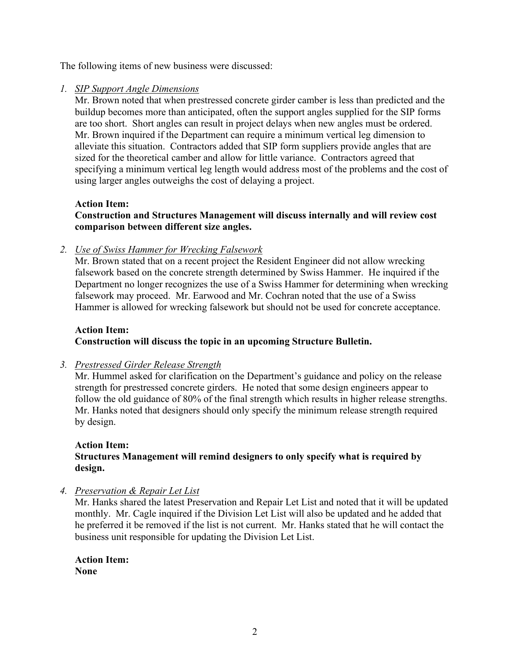The following items of new business were discussed:

#### *1. SIP Support Angle Dimensions*

Mr. Brown noted that when prestressed concrete girder camber is less than predicted and the buildup becomes more than anticipated, often the support angles supplied for the SIP forms are too short. Short angles can result in project delays when new angles must be ordered. Mr. Brown inquired if the Department can require a minimum vertical leg dimension to alleviate this situation. Contractors added that SIP form suppliers provide angles that are sized for the theoretical camber and allow for little variance. Contractors agreed that specifying a minimum vertical leg length would address most of the problems and the cost of using larger angles outweighs the cost of delaying a project.

#### **Action Item:**

## **Construction and Structures Management will discuss internally and will review cost comparison between different size angles.**

*2. Use of Swiss Hammer for Wrecking Falsework*

Mr. Brown stated that on a recent project the Resident Engineer did not allow wrecking falsework based on the concrete strength determined by Swiss Hammer. He inquired if the Department no longer recognizes the use of a Swiss Hammer for determining when wrecking falsework may proceed. Mr. Earwood and Mr. Cochran noted that the use of a Swiss Hammer is allowed for wrecking falsework but should not be used for concrete acceptance.

#### **Action Item: Construction will discuss the topic in an upcoming Structure Bulletin.**

## *3. Prestressed Girder Release Strength*

Mr. Hummel asked for clarification on the Department's guidance and policy on the release strength for prestressed concrete girders. He noted that some design engineers appear to follow the old guidance of 80% of the final strength which results in higher release strengths. Mr. Hanks noted that designers should only specify the minimum release strength required by design.

#### **Action Item: Structures Management will remind designers to only specify what is required by design.**

## *4. Preservation & Repair Let List*

Mr. Hanks shared the latest Preservation and Repair Let List and noted that it will be updated monthly. Mr. Cagle inquired if the Division Let List will also be updated and he added that he preferred it be removed if the list is not current. Mr. Hanks stated that he will contact the business unit responsible for updating the Division Let List.

**Action Item: None**